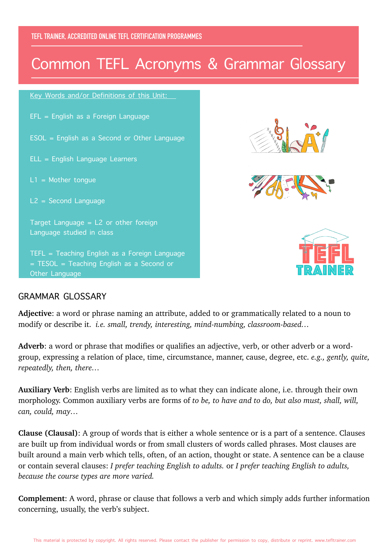## Common TEFL Acronyms & Grammar Glossary

Key Words and/or Definitions of this Unit:

- EFL = English as a Foreign Language
- ESOL = English as a Second or Other Language
- ELL = English Language Learners
- $L1 =$  Mother tongue
- L2 = Second Language

Target Language = L2 or other foreign Language studied in class

TEFL = Teaching English as a Foreign Language = TESOL = Teaching English as a Second or Other Language







## GRAMMAR GLOSSARY

**Adjective**: a word or phrase naming an attribute, added to or grammatically related to a noun to modify or describe it. *i.e. small, trendy, interesting, mind-numbing, classroom-based…* 

**Adverb**: a word or phrase that modifies or qualifies an adjective, verb, or other adverb or a wordgroup, expressing a relation of place, time, circumstance, manner, cause, degree, etc. *e.g., gently, quite, repeatedly, then, there…* 

**Auxiliary Verb**: English verbs are limited as to what they can indicate alone, i.e. through their own morphology. Common auxiliary verbs are forms of *to be, to have and to do, but also must, shall, will, can, could, may…*

**Clause (Clausal)**: A group of words that is either a whole sentence or is a part of a sentence. Clauses are built up from individual words or from small clusters of words called phrases. Most clauses are built around a main verb which tells, often, of an action, thought or state. A sentence can be a clause or contain several clauses: *I prefer teaching English to adults.* or *I prefer teaching English to adults, because the course types are more varied.*

**Complement**: A word, phrase or clause that follows a verb and which simply adds further information concerning, usually, the verb's subject.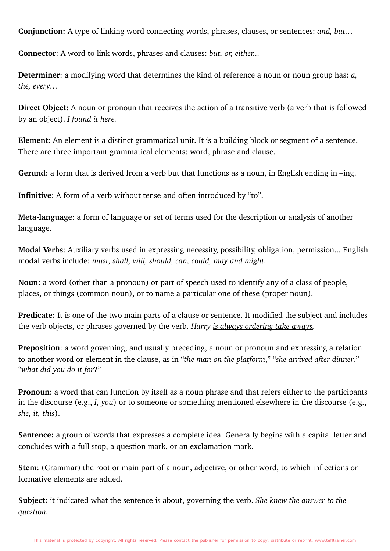**Conjunction:** A type of linking word connecting words, phrases, clauses, or sentences: *and, but…*

**Connector**: A word to link words, phrases and clauses: *but, or, either...* 

**Determiner**: a modifying word that determines the kind of reference a noun or noun group has: *a, the, every…* 

**Direct Object:** A noun or pronoun that receives the action of a transitive verb (a verb that is followed by an object). *I found it here.*

**Element**: An element is a distinct grammatical unit. It is a building block or segment of a sentence. There are three important grammatical elements: word, phrase and clause.

**Gerund**: a form that is derived from a verb but that functions as a noun, in English ending in –ing.

**Infinitive**: A form of a verb without tense and often introduced by "to".

**Meta-language**: a form of language or set of terms used for the description or analysis of another language.

**Modal Verbs**: Auxiliary verbs used in expressing necessity, possibility, obligation, permission... English modal verbs include: *must, shall, will, should, can, could, may and might.*

**Noun**: a word (other than a pronoun) or part of speech used to identify any of a class of people, places, or things (common noun), or to name a particular one of these (proper noun).

**Predicate:** It is one of the two main parts of a clause or sentence. It modified the subject and includes the verb objects, or phrases governed by the verb. *Harry is always ordering take-aways.*

**Preposition**: a word governing, and usually preceding, a noun or pronoun and expressing a relation to another word or element in the clause, as in "*the man on the platform*," "*she arrived after dinner*," "*what did you do it for*?"

**Pronoun**: a word that can function by itself as a noun phrase and that refers either to the participants in the discourse (e.g., *I, you*) or to someone or something mentioned elsewhere in the discourse (e.g., *she, it, this*).

**Sentence:** a group of words that expresses a complete idea. Generally begins with a capital letter and concludes with a full stop, a question mark, or an exclamation mark.

**Stem**: (Grammar) the root or main part of a noun, adjective, or other word, to which inflections or formative elements are added.

**Subject:** it indicated what the sentence is about, governing the verb. *She knew the answer to the question.*